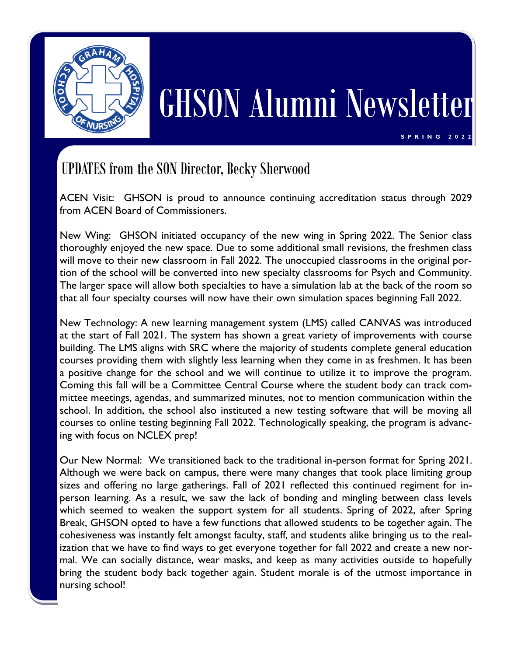

# GHSON Alumni Newsletter

**S P R I N G 2 0 2 2**

## UPDATES from the SON Director, Becky Sherwood

ACEN Visit: GHSON is proud to announce continuing accreditation status through 2029 from ACEN Board of Commissioners.

New Wing: GHSON initiated occupancy of the new wing in Spring 2022. The Senior class thoroughly enjoyed the new space. Due to some additional small revisions, the freshmen class will move to their new classroom in Fall 2022. The unoccupied classrooms in the original portion of the school will be converted into new specialty classrooms for Psych and Community. The larger space will allow both specialties to have a simulation lab at the back of the room so that all four specialty courses will now have their own simulation spaces beginning Fall 2022.

New Technology: A new learning management system (LMS) called CANVAS was introduced at the start of Fall 2021. The system has shown a great variety of improvements with course building. The LMS aligns with SRC where the majority of students complete general education courses providing them with slightly less learning when they come in as freshmen. It has been a positive change for the school and we will continue to utilize it to improve the program. Coming this fall will be a Committee Central Course where the student body can track committee meetings, agendas, and summarized minutes, not to mention communication within the school. In addition, the school also instituted a new testing software that will be moving all courses to online testing beginning Fall 2022. Technologically speaking, the program is advancing with focus on NCLEX prep!

Our New Normal: We transitioned back to the traditional in-person format for Spring 2021. Although we were back on campus, there were many changes that took place limiting group sizes and offering no large gatherings. Fall of 2021 reflected this continued regiment for inperson learning. As a result, we saw the lack of bonding and mingling between class levels which seemed to weaken the support system for all students. Spring of 2022, after Spring Break, GHSON opted to have a few functions that allowed students to be together again. The cohesiveness was instantly felt amongst faculty, staff, and students alike bringing us to the realization that we have to find ways to get everyone together for fall 2022 and create a new normal. We can socially distance, wear masks, and keep as many activities outside to hopefully bring the student body back together again. Student morale is of the utmost importance in nursing school!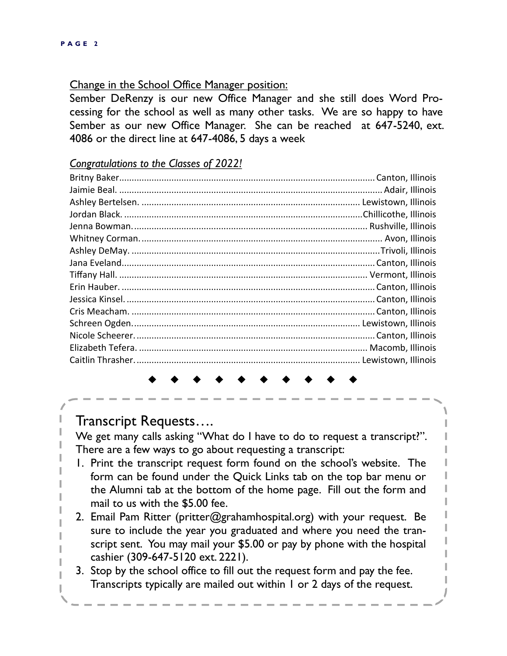#### Change in the School Office Manager position:

Sember DeRenzy is our new Office Manager and she still does Word Processing for the school as well as many other tasks. We are so happy to have Sember as our new Office Manager. She can be reached at 647-5240, ext. 4086 or the direct line at 647-4086, 5 days a week

#### *Congratulations to the Classes of 2022!*

Transcript Requests….

We get many calls asking "What do I have to do to request a transcript?". There are a few ways to go about requesting a transcript:

- 1. Print the transcript request form found on the school's website. The form can be found under the Quick Links tab on the top bar menu or the Alumni tab at the bottom of the home page. Fill out the form and mail to us with the \$5.00 fee.
- 2. Email Pam Ritter (pritter@grahamhospital.org) with your request. Be sure to include the year you graduated and where you need the transcript sent. You may mail your \$5.00 or pay by phone with the hospital cashier (309-647-5120 ext. 2221).
- 3. Stop by the school office to fill out the request form and pay the fee. Transcripts typically are mailed out within 1 or 2 days of the request.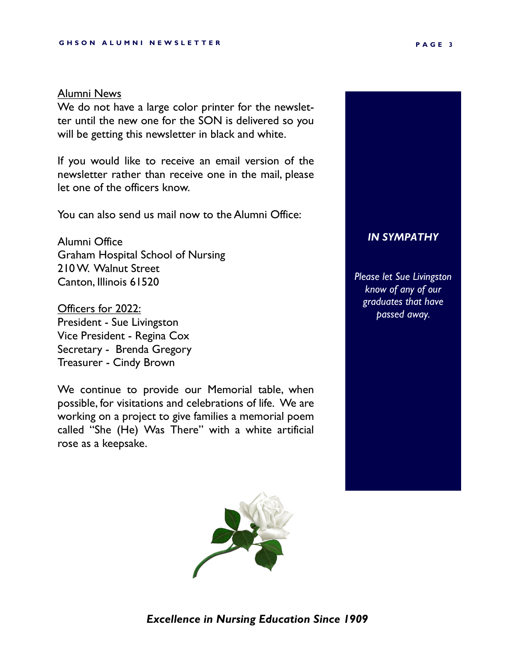#### Alumni News

We do not have a large color printer for the newsletter until the new one for the SON is delivered so you will be getting this newsletter in black and white.

If you would like to receive an email version of the newsletter rather than receive one in the mail, please let one of the officers know.

You can also send us mail now to the Alumni Office:

Alumni Office Graham Hospital School of Nursing 210 W. Walnut Street Canton, Illinois 61520

Officers for 2022: President - Sue Livingston Vice President - Regina Cox Secretary - Brenda Gregory Treasurer - Cindy Brown

We continue to provide our Memorial table, when possible, for visitations and celebrations of life. We are working on a project to give families a memorial poem called "She (He) Was There" with a white artificial rose as a keepsake.



*Please let Sue Livingston know of any of our graduates that have passed away.*